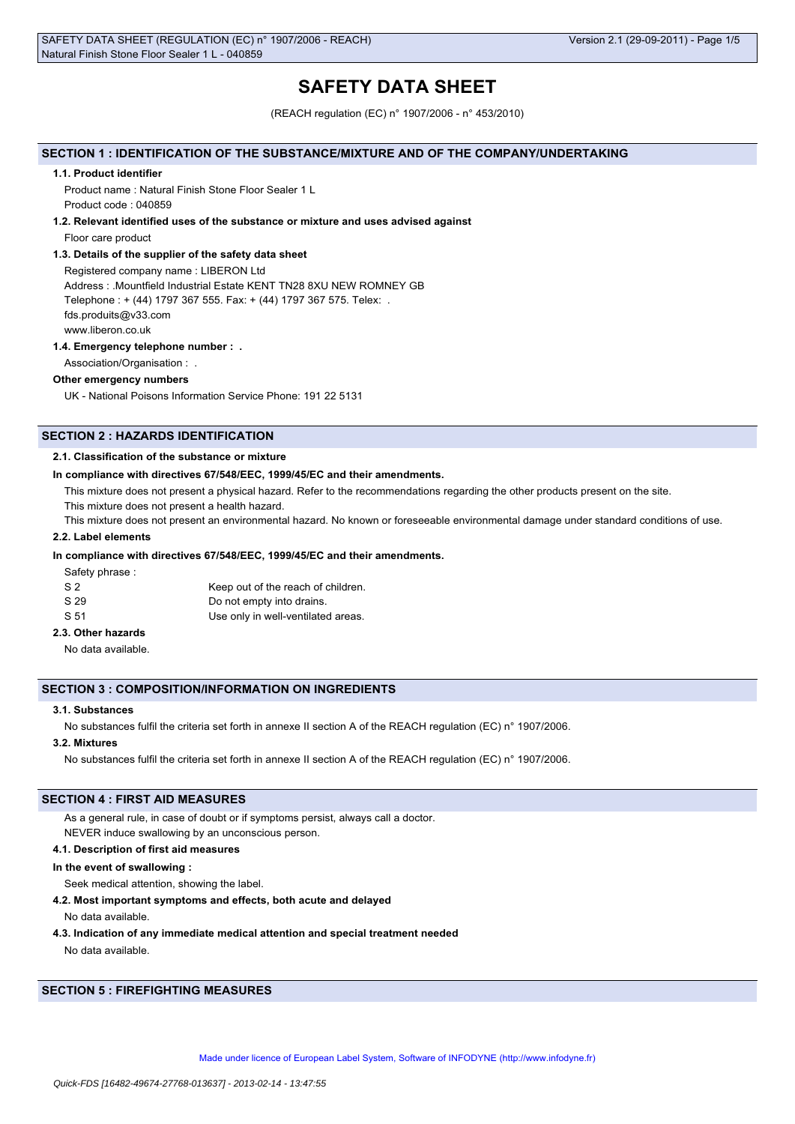# **SAFETY DATA SHEET**

(REACH regulation (EC) n° 1907/2006 - n° 453/2010)

## **SECTION 1 : IDENTIFICATION OF THE SUBSTANCE/MIXTURE AND OF THE COMPANY/UNDERTAKING**

#### **1.1. Product identifier**

Product name : Natural Finish Stone Floor Sealer 1 L Product code : 040859

#### **1.2. Relevant identified uses of the substance or mixture and uses advised against**

Floor care product

#### **1.3. Details of the supplier of the safety data sheet**

Registered company name : LIBERON Ltd Address : .Mountfield Industrial Estate KENT TN28 8XU NEW ROMNEY GB Telephone : + (44) 1797 367 555. Fax: + (44) 1797 367 575. Telex: . fds.produits@v33.com www.liberon.co.uk

#### **1.4. Emergency telephone number : .**

Association/Organisation : .

## **Other emergency numbers**

UK - National Poisons Information Service Phone: 191 22 5131

## **SECTION 2 : HAZARDS IDENTIFICATION**

#### **2.1. Classification of the substance or mixture**

#### **In compliance with directives 67/548/EEC, 1999/45/EC and their amendments.**

This mixture does not present a physical hazard. Refer to the recommendations regarding the other products present on the site.

This mixture does not present a health hazard.

This mixture does not present an environmental hazard. No known or foreseeable environmental damage under standard conditions of use.

### **2.2. Label elements**

### **In compliance with directives 67/548/EEC, 1999/45/EC and their amendments.**

Safety phrase :

| S <sub>2</sub> | Keep out of the reach of children. |
|----------------|------------------------------------|
| S 29           | Do not empty into drains.          |
| S 51           | Use only in well-ventilated areas. |

## **2.3. Other hazards**

No data available.

### **SECTION 3 : COMPOSITION/INFORMATION ON INGREDIENTS**

## **3.1. Substances**

No substances fulfil the criteria set forth in annexe II section A of the REACH regulation (EC) n° 1907/2006.

## **3.2. Mixtures**

No substances fulfil the criteria set forth in annexe II section A of the REACH regulation (EC) n° 1907/2006.

## **SECTION 4 : FIRST AID MEASURES**

As a general rule, in case of doubt or if symptoms persist, always call a doctor.

NEVER induce swallowing by an unconscious person.

## **4.1. Description of first aid measures**

## **In the event of swallowing :**

Seek medical attention, showing the label.

#### **4.2. Most important symptoms and effects, both acute and delayed**

No data available.

**4.3. Indication of any immediate medical attention and special treatment needed**

No data available.

## **SECTION 5 : FIREFIGHTING MEASURES**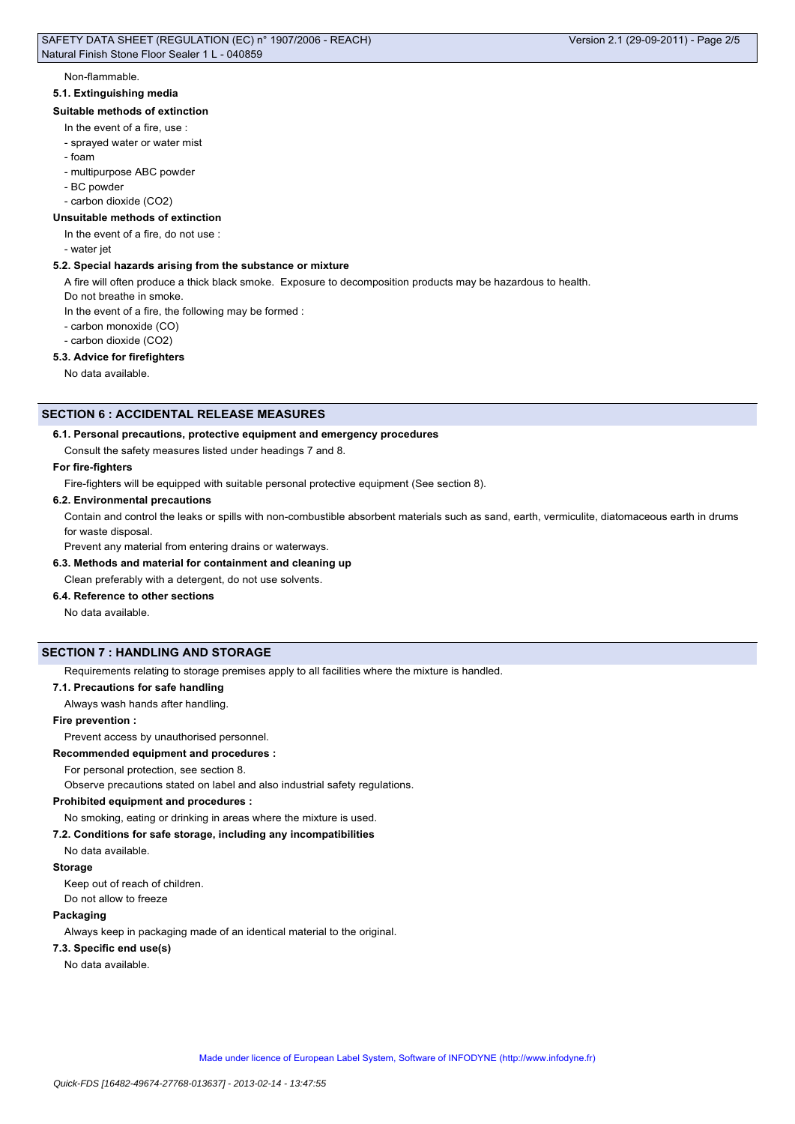#### Non-flammable.

#### **5.1. Extinguishing media**

### **Suitable methods of extinction**

## In the event of a fire, use :

- sprayed water or water mist
- foam
- multipurpose ABC powder
- BC powder

- carbon dioxide (CO2)

#### **Unsuitable methods of extinction**

In the event of a fire, do not use :

- water jet

## **5.2. Special hazards arising from the substance or mixture**

A fire will often produce a thick black smoke. Exposure to decomposition products may be hazardous to health.

Do not breathe in smoke.

In the event of a fire, the following may be formed :

- carbon monoxide (CO)

- carbon dioxide (CO2)

## **5.3. Advice for firefighters**

No data available.

## **SECTION 6 : ACCIDENTAL RELEASE MEASURES**

### **6.1. Personal precautions, protective equipment and emergency procedures**

Consult the safety measures listed under headings 7 and 8.

#### **For fire-fighters**

Fire-fighters will be equipped with suitable personal protective equipment (See section 8).

### **6.2. Environmental precautions**

Contain and control the leaks or spills with non-combustible absorbent materials such as sand, earth, vermiculite, diatomaceous earth in drums for waste disposal.

Prevent any material from entering drains or waterways.

## **6.3. Methods and material for containment and cleaning up**

Clean preferably with a detergent, do not use solvents.

## **6.4. Reference to other sections**

No data available.

### **SECTION 7 : HANDLING AND STORAGE**

Requirements relating to storage premises apply to all facilities where the mixture is handled.

#### **7.1. Precautions for safe handling**

Always wash hands after handling.

#### **Fire prevention :**

Prevent access by unauthorised personnel.

#### **Recommended equipment and procedures :**

For personal protection, see section 8.

Observe precautions stated on label and also industrial safety regulations.

#### **Prohibited equipment and procedures :**

No smoking, eating or drinking in areas where the mixture is used.

#### **7.2. Conditions for safe storage, including any incompatibilities**

No data available.

#### **Storage**

Keep out of reach of children.

Do not allow to freeze

#### **Packaging**

Always keep in packaging made of an identical material to the original.

#### **7.3. Specific end use(s)**

No data available.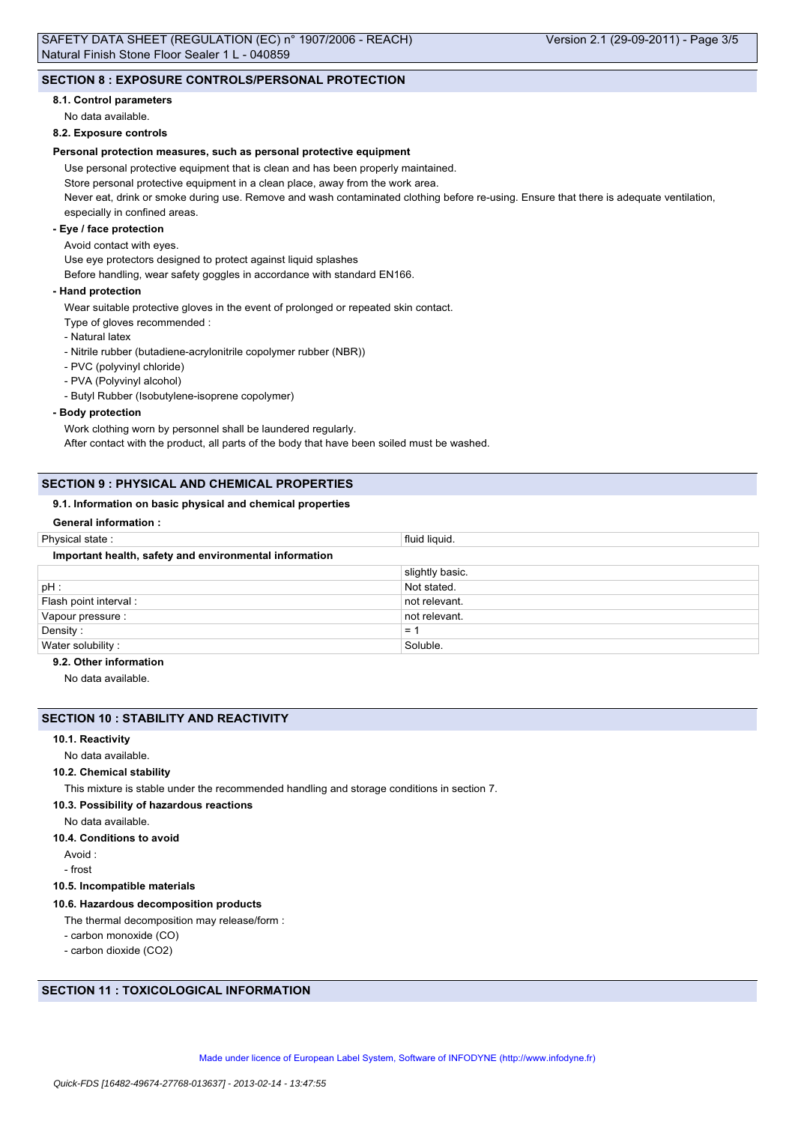## **SECTION 8 : EXPOSURE CONTROLS/PERSONAL PROTECTION**

### **8.1. Control parameters**

No data available.

#### **8.2. Exposure controls**

### **Personal protection measures, such as personal protective equipment**

Use personal protective equipment that is clean and has been properly maintained.

Store personal protective equipment in a clean place, away from the work area.

Never eat, drink or smoke during use. Remove and wash contaminated clothing before re-using. Ensure that there is adequate ventilation, especially in confined areas.

## **- Eye / face protection**

#### Avoid contact with eyes.

Use eye protectors designed to protect against liquid splashes

Before handling, wear safety goggles in accordance with standard EN166.

#### **- Hand protection**

Wear suitable protective gloves in the event of prolonged or repeated skin contact.

- Type of gloves recommended :
- Natural latex
- Nitrile rubber (butadiene-acrylonitrile copolymer rubber (NBR))
- PVC (polyvinyl chloride)
- PVA (Polyvinyl alcohol)

- Butyl Rubber (Isobutylene-isoprene copolymer)

#### **- Body protection**

Work clothing worn by personnel shall be laundered regularly. After contact with the product, all parts of the body that have been soiled must be washed.

## **SECTION 9 : PHYSICAL AND CHEMICAL PROPERTIES**

### **9.1. Information on basic physical and chemical properties**

## **General information :**

| Physical state:                                        | fluid liquid.   |
|--------------------------------------------------------|-----------------|
| Important health, safety and environmental information |                 |
|                                                        | slightly basic. |
| pH:                                                    | Not stated.     |
| Flash point interval :                                 | not relevant.   |
| Vapour pressure :                                      | not relevant.   |
| Density:                                               | $= 1$           |
| Water solubility:                                      | Soluble.        |
| .                                                      |                 |

## **9.2. Other information**

No data available.

### **SECTION 10 : STABILITY AND REACTIVITY**

## **10.1. Reactivity**

No data available.

### **10.2. Chemical stability**

This mixture is stable under the recommended handling and storage conditions in section 7.

#### **10.3. Possibility of hazardous reactions**

No data available.

**10.4. Conditions to avoid**

Avoid :

- frost

#### **10.5. Incompatible materials**

## **10.6. Hazardous decomposition products**

The thermal decomposition may release/form :

- carbon monoxide (CO)
- carbon dioxide (CO2)

## **SECTION 11 : TOXICOLOGICAL INFORMATION**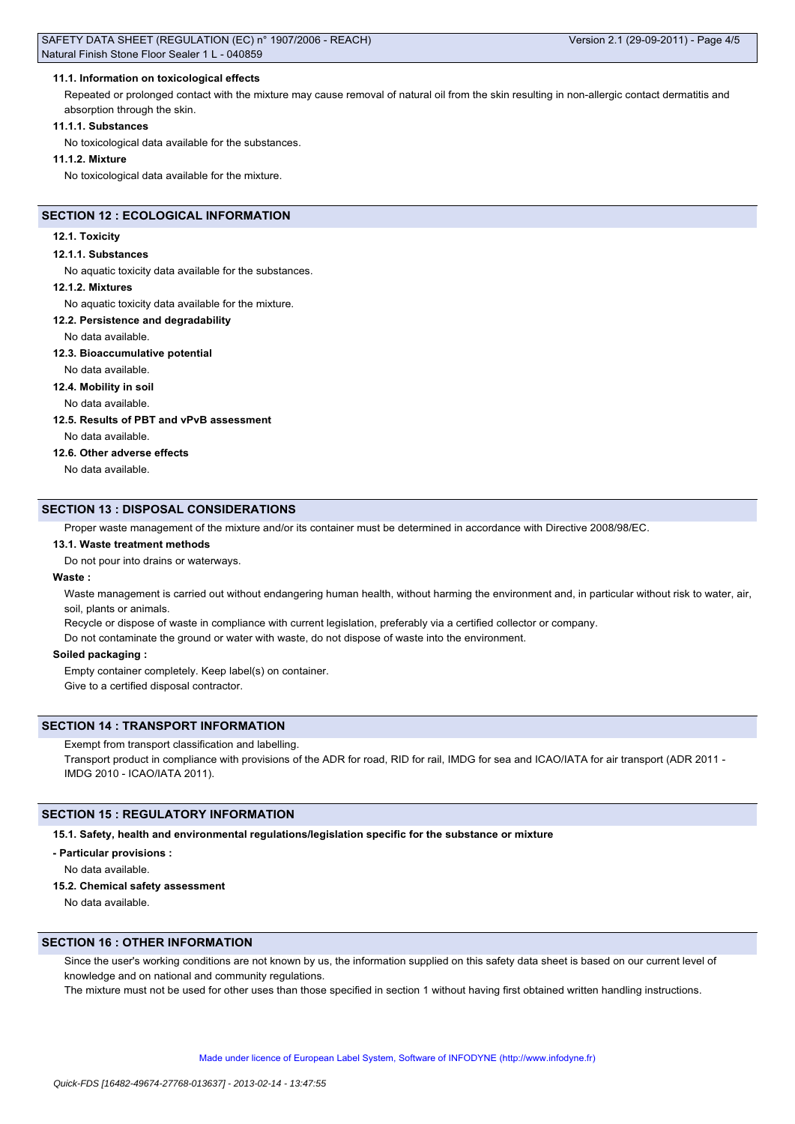### **11.1. Information on toxicological effects**

Repeated or prolonged contact with the mixture may cause removal of natural oil from the skin resulting in non-allergic contact dermatitis and absorption through the skin.

#### **11.1.1. Substances**

No toxicological data available for the substances.

#### **11.1.2. Mixture**

No toxicological data available for the mixture.

## **SECTION 12 : ECOLOGICAL INFORMATION**

#### **12.1. Toxicity**

#### **12.1.1. Substances**

No aquatic toxicity data available for the substances.

#### **12.1.2. Mixtures**

No aquatic toxicity data available for the mixture.

#### **12.2. Persistence and degradability**

No data available.

#### **12.3. Bioaccumulative potential**

No data available.

## **12.4. Mobility in soil**

No data available.

### **12.5. Results of PBT and vPvB assessment**

No data available.

### **12.6. Other adverse effects**

No data available.

### **SECTION 13 : DISPOSAL CONSIDERATIONS**

Proper waste management of the mixture and/or its container must be determined in accordance with Directive 2008/98/EC.

#### **13.1. Waste treatment methods**

Do not pour into drains or waterways.

### **Waste :**

Waste management is carried out without endangering human health, without harming the environment and, in particular without risk to water, air, soil, plants or animals.

Recycle or dispose of waste in compliance with current legislation, preferably via a certified collector or company.

Do not contaminate the ground or water with waste, do not dispose of waste into the environment.

#### **Soiled packaging :**

Empty container completely. Keep label(s) on container.

Give to a certified disposal contractor.

## **SECTION 14 : TRANSPORT INFORMATION**

Exempt from transport classification and labelling.

Transport product in compliance with provisions of the ADR for road, RID for rail, IMDG for sea and ICAO/IATA for air transport (ADR 2011 -IMDG 2010 - ICAO/IATA 2011).

## **SECTION 15 : REGULATORY INFORMATION**

**15.1. Safety, health and environmental regulations/legislation specific for the substance or mixture**

#### **- Particular provisions :**

No data available.

## **15.2. Chemical safety assessment**

No data available.

## **SECTION 16 : OTHER INFORMATION**

Since the user's working conditions are not known by us, the information supplied on this safety data sheet is based on our current level of knowledge and on national and community regulations.

The mixture must not be used for other uses than those specified in section 1 without having first obtained written handling instructions.